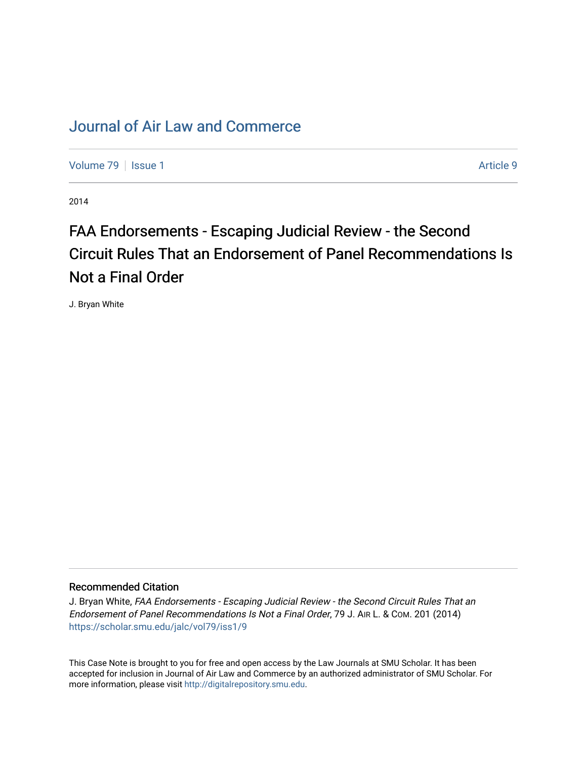## [Journal of Air Law and Commerce](https://scholar.smu.edu/jalc)

[Volume 79](https://scholar.smu.edu/jalc/vol79) | [Issue 1](https://scholar.smu.edu/jalc/vol79/iss1) Article 9

2014

# FAA Endorsements - Escaping Judicial Review - the Second Circuit Rules That an Endorsement of Panel Recommendations Is Not a Final Order

J. Bryan White

#### Recommended Citation

J. Bryan White, FAA Endorsements - Escaping Judicial Review - the Second Circuit Rules That an Endorsement of Panel Recommendations Is Not a Final Order, 79 J. AIR L. & COM. 201 (2014) [https://scholar.smu.edu/jalc/vol79/iss1/9](https://scholar.smu.edu/jalc/vol79/iss1/9?utm_source=scholar.smu.edu%2Fjalc%2Fvol79%2Fiss1%2F9&utm_medium=PDF&utm_campaign=PDFCoverPages) 

This Case Note is brought to you for free and open access by the Law Journals at SMU Scholar. It has been accepted for inclusion in Journal of Air Law and Commerce by an authorized administrator of SMU Scholar. For more information, please visit [http://digitalrepository.smu.edu](http://digitalrepository.smu.edu/).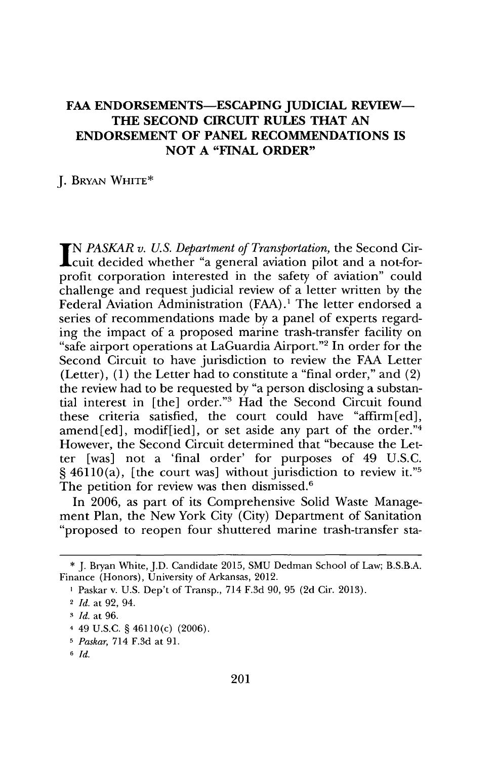### FAA ENDORSEMENTS-ESCAPING JUDICIAL REVIEW-**THE SECOND CIRCUIT RULES THAT AN ENDORSEMENT OF PANEL RECOMMENDATIONS IS NOT A "FINAL ORDER"**

**J.** BRYAN WHITE\*

*IN PASKAR v. U.S. Department of Transportation,* the Second Circuit decided whether "a general aviation pilot and a not-forprofit corporation interested in the safety of aviation" could challenge and request judicial review of a letter written **by** the Federal Aviation Administration **(FAA).'** The letter endorsed a series of recommendations made **by** a panel of experts regarding the impact of a proposed marine trash-transfer facility on "safe airport operations at LaGuardia Airport."<sup>2</sup> In order for the Second Circuit to have jurisdiction to review the **FAA** Letter (Letter), **(1)** the Letter had to constitute a "final order," and (2) the review had to be requested **by** "a person disclosing a substantial interest in [the] order."<sup>3</sup> Had the Second Circuit found these criteria satisfied, the court could have "affirm [ed], amend[ed], modif[ied], or set aside any part of the order."4 However, the Second Circuit determined that "because the Letter [was] not a 'final order' for purposes of 49 **U.S.C. §** 46110(a), [the court was] without jurisdiction to review it."5 The petition for review was then dismissed.<sup>6</sup>

In **2006,** as part of its Comprehensive Solid Waste Management Plan, the New York City (City) Department of Sanitation "proposed to reopen four shuttered marine trash-transfer sta-

**<sup>\*</sup> J.** Bryan White, J.D. Candidate **2015, SMU** Dedman School of Law; B.S.B.A. Finance (Honors), University of Arkansas, 2012.

**<sup>1</sup>** Paskar v. **U.S.** Dep't of Transp., 714 **F.3d 90, 95 (2d** Cir. **2013).**

<sup>2</sup>*Id.* at **92,** 94.

**<sup>3</sup>***Id.* at **96.**

<sup>4 49</sup> **U.S.C. §** 46110(c) **(2006).**

**<sup>5</sup>** *Paskar,* 714 **F.3d** at **91.**

**<sup>6</sup>***Id.*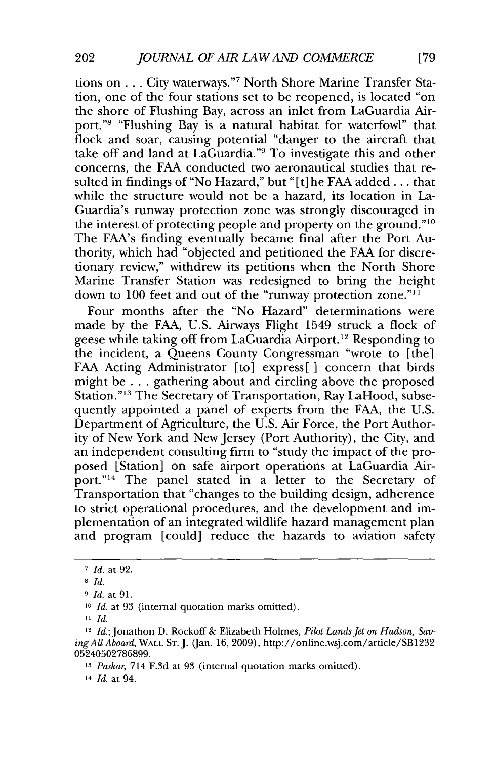tions on **. . .** City waterways."7 North Shore Marine Transfer Station, one of the four stations set to be reopened, is located "on the shore of Flushing Bay, across an inlet from LaGuardia Airport."<sup>8</sup> "Flushing Bay is a natural habitat for waterfowl" that flock and soar, causing potential "danger to the aircraft that take off and land at LaGuardia."9 To investigate this and other concerns, the **FAA** conducted two aeronautical studies that resulted in findings of "No Hazard," but **"** [t] he **FAA** added **...** that while the structure would not be a hazard, its location in La-Guardia's runway protection zone was strongly discouraged in the interest of protecting people and property on the ground." $10$ The FAA's finding eventually became final after the Port Authority, which had "objected and petitioned the **FAA** for discretionary review," withdrew its petitions when the North Shore Marine Transfer Station was redesigned to bring the height down to 100 feet and out of the "runway protection zone."<sup>11</sup>

Four months after the "No Hazard" determinations were made **by** the **FAA, U.S.** Airways Flight 1549 struck a flock of geese while taking off from LaGuardia Airport.<sup>12</sup> Responding to the incident, a Queens County Congressman "wrote to [the] FAA Acting Administrator [to] express [ ] concern that birds might be **.** . **.** gathering about and circling above the proposed Station."<sup>13</sup> The Secretary of Transportation, Ray LaHood, subsequently appointed a panel of experts from the **FAA,** the **U.S.** Department of Agriculture, the **U.S.** Air Force, the Port Authority of New York and New Jersey (Port Authority), the City, and an independent consulting firm to "study the impact of the proposed [Station] on safe airport operations at LaGuardia Airport."<sup>14</sup> The panel stated in a letter to the Secretary of Transportation that "changes to the building design, adherence to strict operational procedures, and the development and implementation of an integrated wildlife hazard management plan and program [could] reduce the hazards to aviation safety

**14** *Id.* at 94.

**<sup>7</sup>** *Id. at* **92.**

**<sup>8</sup>***Id.*

**<sup>9</sup>** *Id. at* **91.**

**<sup>10</sup>** *Id. at* **93** (internal quotation marks omitted).

 $11$  *Id.* 

<sup>&</sup>lt;sup>12</sup> *Id.*; Jonathon D. Rockoff & Elizabeth Holmes, *Pilot Lands Jet on Hudson*, Sav*ing All Aboard,* **WALL ST. J.** (Jan. **16, 2009),** http://online.wsj.com/article/SB1232 **05240502786899.**

**<sup>13</sup>***Paskar,* 714 **F.3d** at **93** (internal quotation marks omitted).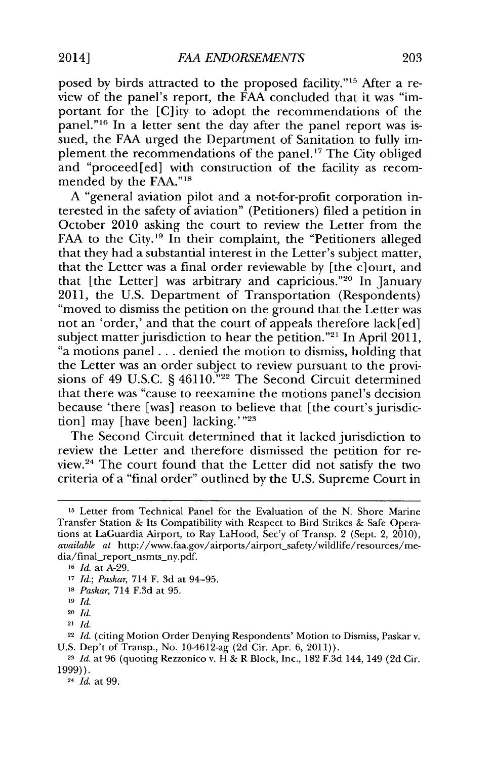posed **by** birds attracted to the proposed facility."15 After a review of the panel's report, the **FAA** concluded that it was "important for the [C]ity to adopt the recommendations of the panel."<sup>16</sup> In a letter sent the day after the panel report was issued, the FAA urged the Department of Sanitation to fully implement the recommendations of the panel." The City obliged and "proceed[ed] with construction of the facility as recommended **by** the **FAA."**

**A** "general aviation pilot and a not-for-profit corporation interested in the safety of aviation" (Petitioners) filed a petition in October 2010 asking the court to review the Letter from the FAA to the City.<sup>19</sup> In their complaint, the "Petitioners alleged that they had a substantial interest in the Letter's subject matter, that the Letter was a final order reviewable **by** [the c]ourt, and that [the Letter] was arbitrary and capricious."<sup>20</sup> In January 2011, the **U.S.** Department of Transportation (Respondents) "moved to dismiss the petition on the ground that the Letter was not an 'order,' and that the court of appeals therefore lack[ed] subject matter jurisdiction to hear the petition."<sup>21</sup> In April 2011, "a motions panel **...** denied the motion to dismiss, holding that the Letter was an order subject to review pursuant to the provisions of 49 **U.S.C. §** 46110."22 The Second Circuit determined that there was "cause to reexamine the motions panel's decision because 'there [was] reason to believe that [the court's jurisdiction] may [have been] lacking.' *"23*

The Second Circuit determined that it lacked jurisdiction to review the Letter and therefore dismissed the petition for review.<sup>24</sup> The court found that the Letter did not satisfy the two criteria of a "final order" outlined **by** the **U.S.** Supreme Court in

**<sup>15</sup>**Letter from Technical Panel for the Evaluation of the **N.** Shore Marine Transfer Station **&** Its Compatibility with Respect to Bird Strikes **&** Safe Operations at LaGuardia Airport, to Ray LaHood, Sec'y of Transp. 2 (Sept. 2, 2010), *available at* http://www.faa.gov/airports/airport-safety/wildlife/resources/media/final\_report\_nsmts\_ny.pdf.

**<sup>16</sup>***Id.* at **A-29.**

**<sup>17</sup>***Id.; Paskar,* 714 F. **3d** at 94-95.

**<sup>18</sup>***Paskar,* 714 **F.3d** at **95.**

**<sup>19</sup>** *Id.*

<sup>20</sup>*Id.*

<sup>21</sup>*Id.*

<sup>22</sup>*Id.* (citing Motion Order Denying Respondents' Motion to Dismiss, Paskar v. **U.S.** Dep't of Transp., No. 104612-ag **(2d** Cir. Apr. **6, 2011)).**

**<sup>23</sup>***Id.* at **96** (quoting Rezzonico v. H **&** R Block, Inc., **182 F.3d** 144, 149 **(2d** Cir. **1999)).**

<sup>24</sup>*Id.* at **99.**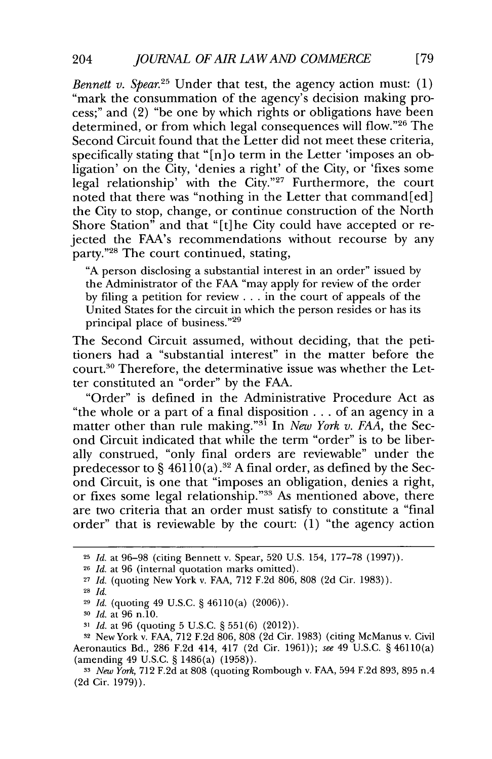*Bennett v. Spear.25* Under that test, the agency action must: **(1)** "mark the consummation of the agency's decision making process;" and (2) "be one **by** which rights or obligations have been determined, or from which legal consequences will flow."26 The Second Circuit found that the Letter did not meet these criteria, specifically stating that "[n]o term in the Letter 'imposes an obligation' on the City, 'denies a right' of the City, or 'fixes some legal relationship' with the City."<sup>27</sup> Furthermore, the court noted that there was "nothing in the Letter that command [ed] the City to stop, change, or continue construction of the North Shore Station" and that "[t]he City could have accepted or rejected the FAA's recommendations without recourse **by** any party."<sup>28</sup> The court continued, stating,

**"A** person disclosing a substantial interest in an order" issued **by** the Administrator of the **FAA** "may apply for review of the order **by** filing a petition for review **.** . **.** in the court of appeals of the United States for the circuit in which the person resides or has its principal place of business. **"29**

The Second Circuit assumed, without deciding, that the petitioners had a "substantial interest" in the matter before the court.30 Therefore, the determinative issue was whether the Letter constituted an "order" **by** the **FAA.**

"Order" is defined in the Administrative Procedure Act as "the whole or a part of a final disposition **.** . **.** of an agency in a matter other than rule making."<sup>31</sup> In *New York v. FAA*, the Second Circuit indicated that while the term "order" is to be liberally construed, "only final orders are reviewable" under the predecessor to **§ 46110(a).3 2 A** final order, as defined **by** the Second Circuit, is one that "imposes an obligation, denies a right, or fixes some legal relationship."<sup>33</sup> As mentioned above, there are two criteria that an order must satisfy to constitute a "final order" that is reviewable **by** the court: **(1)** "the agency action

**<sup>25</sup>***Id.* at **96-98** (citing Bennett v. Spear, **520 U.S.** 154, **177-78 (1997)).**

**<sup>26</sup>***Id.* at **96** (internal quotation marks omitted).

**<sup>27</sup>***Id.* **(quoting** New York v. **FAA, 712 F.2d 806, 808 (2d** Cir. **1983)).**

**<sup>28</sup>***Id.*

**<sup>29</sup>***Id.* (quoting 49 **U.S.C.** *§* 46110(a) **(2006)).**

**<sup>30</sup>***Id.* at **96** n.10.

**<sup>31</sup>***Id.* at **96** (quoting **5 U.S.C.** *§* **551(6)** (2012)).

**<sup>32</sup>**New York v. **FAA, 712 F.2d 806, 808 (2d** Cir. **1983)** (citing McManus v. Civil Aeronautics Bd., **286 F.2d** 414, 417 **(2d** Cir. **1961));** *see* 49 **U.S.C.** *§* 46110(a) (amending 49 **U.S.C.** *§* 1486(a) **(1958)).**

*New York,* **712 F.2d** at **808** (quoting Rombough v. **FAA,** 594 **F.2d 893, 895** n.4 **(2d** Cir. **1979)).**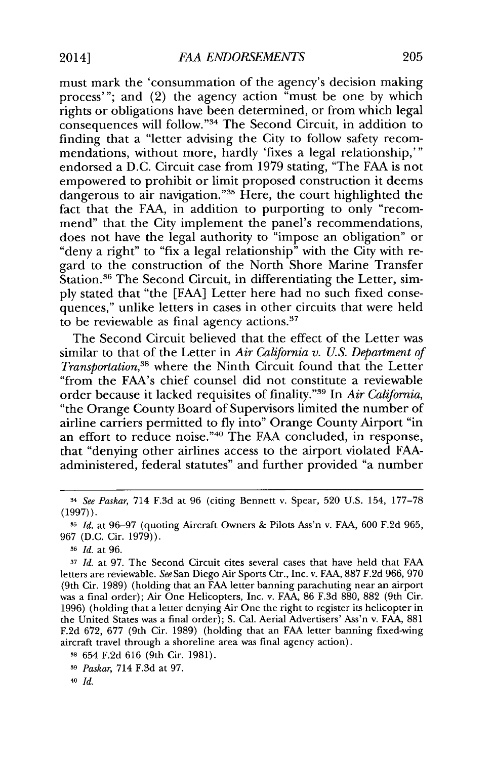must mark the 'consummation of the agency's decision making process'"; and (2) the agency action "must be one **by** which rights or obligations have been determined, or from which legal consequences will follow."<sup>34</sup> The Second Circuit, in addition to finding that a "letter advising the City to follow safety recommendations, without more, hardly 'fixes a legal relationship,'" endorsed a **D.C.** Circuit case from **1979** stating, "The **FAA** is not empowered to prohibit or limit proposed construction it deems dangerous to air navigation."<sup>35</sup> Here, the court highlighted the fact that the **FAA,** in addition to purporting to only "recommend" that the City implement the panel's recommendations, does not have the legal authority to "impose an obligation" or "deny a right" to "fix a legal relationship" with the City with regard to the construction of the North Shore Marine Transfer Station.<sup>36</sup> The Second Circuit, in differentiating the Letter, sim**ply** stated that "the **[FAA]** Letter here had no such fixed consequences," unlike letters in cases in other circuits that were held to be reviewable as final agency actions.

The Second Circuit believed that the effect of the Letter was similar to that of the Letter in *Air California v. U.S. Department of Transportation*,<sup>38</sup> where the Ninth Circuit found that the Letter "from the FAA's chief counsel did not constitute a reviewable order because it lacked requisites of finality."<sup>39</sup> In *Air California*, "the Orange County Board of Supervisors limited the number of airline carriers permitted to **fly** into" Orange County Airport "in an effort to reduce noise."<sup>40</sup> The FAA concluded, in response, that "denying other airlines access to the airport violated **FAA**administered, federal statutes" and further provided "a number

<sup>34</sup>*See Paskar,* 714 **F.3d** at **96** (citing Bennett v. Spear, **520 U.S.** 154, **177-78 (1997)).**

**<sup>35</sup>***Id.* at **96-97** (quoting Aircraft Owners **&** Pilots Ass'n v. **FAA, 600 F.2d 965, 967 (D.C.** Cir. **1979)).**

**<sup>6</sup>***Id.* at **96.**

**<sup>3</sup>***Id.* at **97.** The Second Circuit cites several cases that have held that **FAA** letters are reviewable. *See* San Diego Air Sports Ctr., Inc. v. **FAA, 887 F.2d 966, 970** (9th Cir. **1989)** (holding that an **FAA** letter banning parachuting near an airport was a final order); Air One Helicopters, Inc. v. **FAA, 86 F.3d 880, 882** (9th Cir. **1996)** (holding that a letter denying Air One the right to register its helicopter in the United States was a final order); **S.** Cal. Aerial Advertisers' Ass'n v. **FAA, 881 F.2d 672, 677** (9th Cir. **1989)** (holding that an **FAA** letter banning fixed-wing aircraft travel through a shoreline area was final agency action).

**<sup>38</sup>**654 **F.2d 616** (9th Cir. **1981).**

**<sup>39</sup>***Paskar,* 714 **F.3d** at **97.**

**<sup>40</sup>***Id.*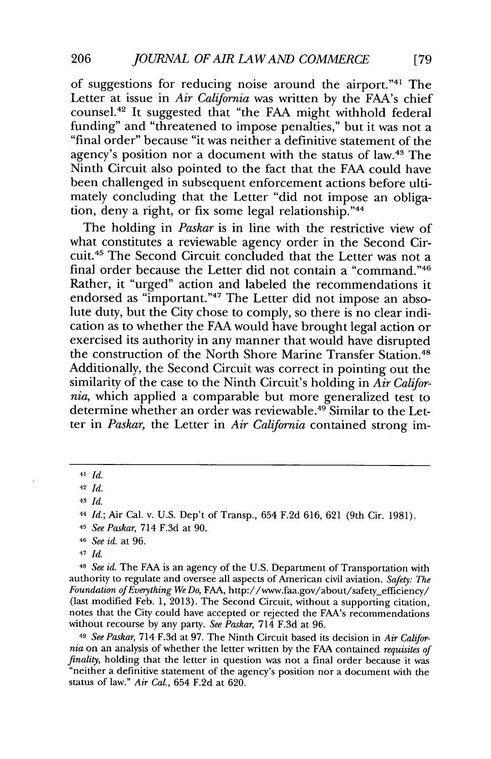of suggestions for reducing noise around the airport."<sup>41</sup> The Letter at issue in *Air California* was written **by** the FAA's chief counsel.<sup>42</sup> It suggested that "the FAA might withhold federal funding" and "threatened to impose penalties," but it was not a "final order" because "it was neither a definitive statement of the agency's position nor a document with the status of law.<sup>43</sup> The Ninth Circuit also pointed to the fact that the **FAA** could have been challenged in subsequent enforcement actions before ultimately concluding that the Letter "did not impose an obligation, deny a right, or fix some legal relationship." $44$ 

The holding in *Paskar* is in line with the restrictive view of what constitutes a reviewable agency order in the Second Circuit.<sup>45</sup> The Second Circuit concluded that the Letter was not a final order because the Letter did not contain a "command."<sup>46</sup> Rather, it "urged" action and labeled the recommendations it endorsed as "important."<sup>47</sup> The Letter did not impose an absolute duty, but the City chose to comply, so there is no clear indication as to whether the **FAA** would have brought legal action or exercised its authority in any manner that would have disrupted the construction of the North Shore Marine Transfer Station.<sup>48</sup> Additionally, the Second Circuit was correct in pointing out the similarity of the case to the Ninth Circuit's holding in *Air California,* which applied a comparable but more generalized test to determine whether an order was reviewable.<sup>49</sup> Similar to the Letter in *Paskar,* the Letter in *Air California* contained strong im-

**42** *Id.*

- <sup>45</sup>*See Paskar,* 714 **F.3d** at **90.**
- **<sup>46</sup>***See id.* at **96.**
- <sup>47</sup>*Id.*

**-** *See id.* The **FAA** is an agency of the **U.S.** Department of Transportation with authority to regulate and oversee all aspects of American civil aviation. *Safety: The Foundation ofEverything We Do,* **FAA,** http://www.faa.gov/about/safety-efficiency/ (last modified Feb. **1, 2013).** The Second Circuit, without a supporting citation, notes that the City could have accepted or rejected the FAA's recommendations without recourse **by** any party. *See Paskar,* 714 **F.3d** at **96.**

4 *See Paskar,* 714 **F.3d** at **97.** The Ninth Circuit based its decision in *Air Califor*finality, holding that the letter in question was not a final order because it was "neither a definitive statement of the agency's position nor a document with the status of law." *Air Cal.,* 654 **F.2d** at **620.**

**<sup>41</sup>***Id.*

<sup>43</sup> *Id.* 

<sup>4</sup>*Id.;* Air Cal. v. **U.S.** Dep't of Transp., 654 **F.2d 616, 621** (9th Cir. **1981).**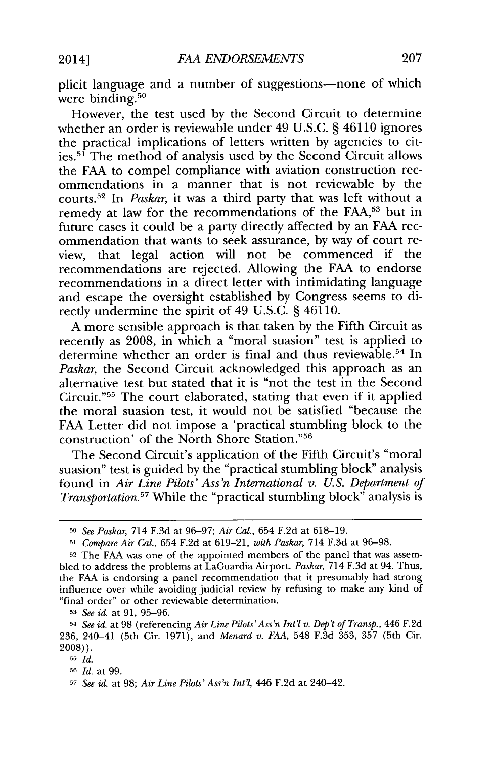plicit language and a number of suggestions-none of which were binding. $50$ 

However, the test used **by** the Second Circuit to determine whether an order is reviewable under 49 **U.S.C. § 46110** ignores the practical implications of letters written **by** agencies to cities.<sup>51</sup> The method of analysis used by the Second Circuit allows the **FAA** to compel compliance with aviation construction recommendations in a manner that is not reviewable **by** the courts.<sup>52</sup> In *Paskar*, it was a third party that was left without a remedy at law for the recommendations of the **FAA,5"** but in future cases it could be a party directly affected **by** an **FAA** recommendation that wants to seek assurance, **by** way of court review, that legal action will not be commenced if the recommendations are rejected. Allowing the **FAA** to endorse recommendations in a direct letter with intimidating language and escape the oversight established **by** Congress seems to directly undermine the spirit of 49 **U.S.C. §** 46110.

**A** more sensible approach is that taken **by** the Fifth Circuit as recently as **2008,** in which a "moral suasion" test is applied to determine whether an order is final and thus reviewable.54 In *Paskar,* the Second Circuit acknowledged this approach as an alternative test but stated that it is "not the test in the Second Circuit."<sup>55</sup> The court elaborated, stating that even if it applied the moral suasion test, it would not be satisfied "because the **FAA** Letter did not impose a 'practical stumbling block to the construction' of the North Shore Station. **<sup>5</sup>**

The Second Circuit's application of the Fifth Circuit's "moral suasion" test is guided **by** the "practical stumbling block" analysis found in *Air Line Pilots' Ass'n International v. U.S. Department of Transportation.*<sup>57</sup> While the "practical stumbling block" analysis is

*<sup>53</sup>See id.* at **91, 95-96.**

**<sup>50</sup>***See Paskar,* 714 **F.3d** at **96-97;** *Air Cal.,* 654 **F.2d** at **618-19.**

**<sup>5</sup>***Compare Air Cal.,* 654 **F.2d** at **619-21,** *with Paskar,* 714 **F.3d** at **96-98.**

**<sup>52</sup>** The **FAA** was one of the appointed members of the panel that was assembled to address the problems at LaGuardia Airport. *Paskar,* 714 **F.3d** at 94. Thus, the **FAA** is endorsing a panel recommendation that it presumably had strong influence over while avoiding judicial review **by** refusing to make any kind of "final order" or other reviewable determination.

<sup>54</sup>*See id.* at **98** (referencing *AirLine Pilots'Ass'n Int' v. Dep't of Transp., 446* **F.2d 236,** 240-41 (5th Cir. **1971),** and *Menard v. FAA,* 548 **F.3d 353, 357** (5th Cir. **2008)).**

**<sup>55</sup>** *Id.*

**<sup>56</sup>***Id.* at **99.**

**<sup>5</sup>***See id.* at **98;** *Air Line Pilots' Ass'n Int'l,* 446 **F.2d** at 240-42.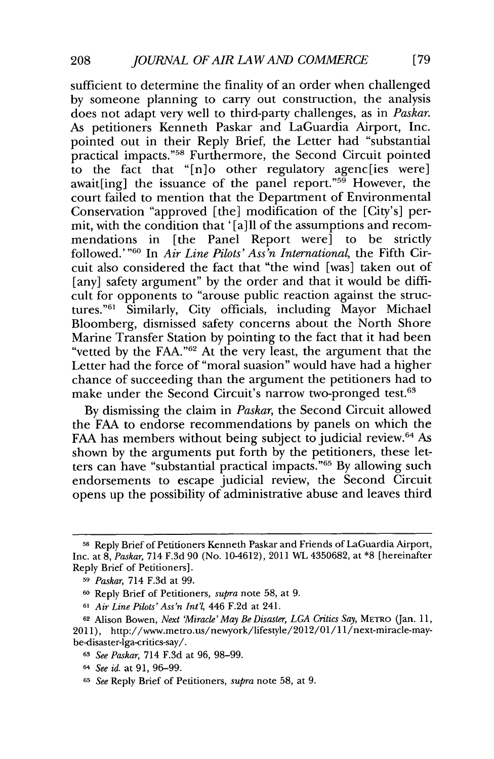sufficient to determine the finality of an order when challenged **by** someone planning to carry out construction, the analysis does not adapt very well to third-party challenges, as in *Paskar.* As petitioners Kenneth Paskar and LaGuardia Airport, Inc. pointed out in their Reply Brief, the Letter had "substantial practical impacts."<sup>58</sup> Furthermore, the Second Circuit pointed to the fact that "[n]o other regulatory agenc[ies were] await[ing] the issuance of the panel report."<sup>59</sup> However, the court failed to mention that the Department of Environmental Conservation "approved [the] modification of the [City's] permit, with the condition that '[a]ll of the assumptions and recommendations in [the Panel Report were] to be strictly followed.'<sup>"60</sup> In *Air Line Pilots' Ass'n International*, the Fifth Circuit also considered the fact that "the wind [was] taken out of [any] safety argument" by the order and that it would be difficult for opponents to "arouse public reaction against the structures."<sup>61</sup> Similarly, City officials, including Mayor Michael Bloomberg, dismissed safety concerns about the North Shore Marine Transfer Station **by** pointing to the fact that it had been "vetted **by** the **FAA."62** At the very least, the argument that the Letter had the force of "moral suasion" would have had a higher chance of succeeding than the argument the petitioners had to make under the Second Circuit's narrow two-pronged test.<sup>63</sup>

**By** dismissing the claim in *Paskar,* the Second Circuit allowed the **FAA** to endorse recommendations **by** panels on which the **FAA** has members without being subject to judicial review.<sup>64</sup> As shown **by** the arguments put forth **by** the petitioners, these letters can have "substantial practical impacts."6" **By** allowing such endorsements to escape judicial review, the Second Circuit opens up the possibility of administrative abuse and leaves third

**<sup>58</sup>**Reply Brief of Petitioners Kenneth Paskar and Friends of LaGuardia Airport, Inc. at **8,** *Paskar,* 714 **F.3d 90** (No. 10-4612), 2011 WL **4350682,** at **\*8** [hereinafter Reply Brief of Petitioners].

**<sup>5</sup>** *Paskar,* 714 **F.3d** at **99.**

**<sup>60</sup>**Reply Brief of Petitioners, *supra* note **58,** at **9.**

**<sup>61</sup>***Air Line Pilots'Ass'n Int'l,* 446 **F.2d** at 241.

**<sup>62</sup>**Alison Bowen, *Next Miracle'May Be Disaster, LGA Critics Say,* **METRO** (Jan. **11,** 2011), http://www.metro.us/newyork/lifestyle/2012/01/11/next-miracle-maybe-disaster-lga-critics-say/.

**<sup>63</sup>***See Paskar,* 714 **F.3d** at **96, 98-99.**

**<sup>6</sup>***See id.* at **91, 96-99.**

**<sup>65</sup>***See* Reply Brief of Petitioners, *supra* note **58,** at **9.**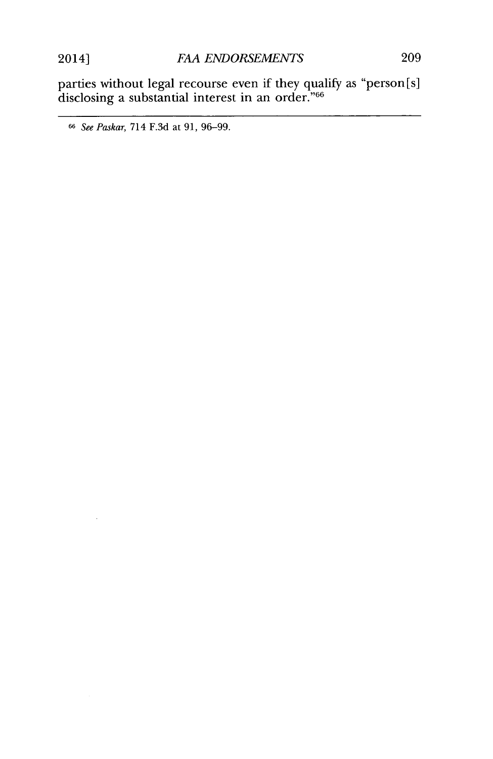$\ddot{\phantom{a}}$ 

parties without legal recourse even if they qualify as "person[s] disclosing a substantial interest in an order." $\rm ^{66}$ 

**<sup>66</sup>** See Paskar, 714 **F.3d** at **91, 96-99.**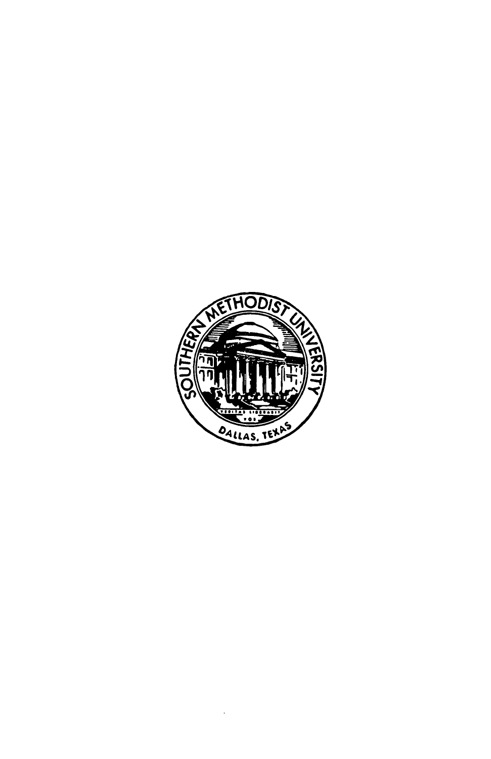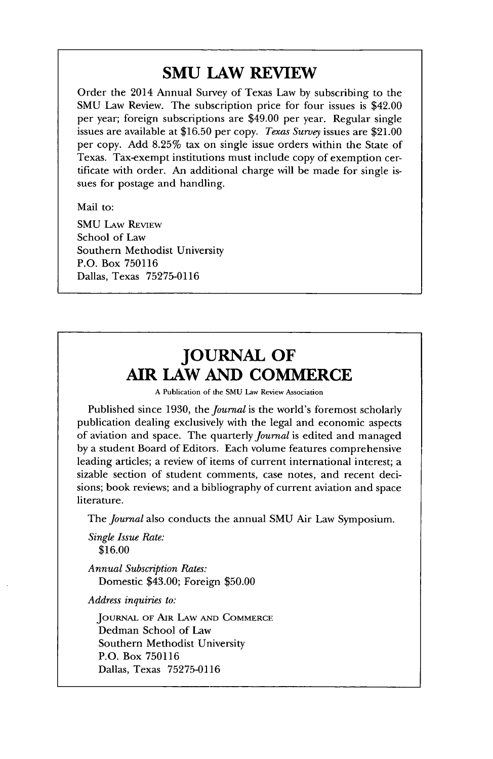## **SMU LAW REVIEW**

Order the 2014 Annual Survey of Texas Law **by** subscribing to the **SMU** Law Review. The subscription price for four issues is \$42.00 per year; foreign subscriptions are \$49.00 per year. Regular single issues are available at **\$16.50** per copy. *Texas Survey* issues are \$21.00 per copy. **Add 8.25%** tax on single issue orders within the State of Texas. Tax-exempt institutions must include copy of exemption certificate with order. An additional charge will be made for single issues for postage and handling.

Mail to:

**SMU LAw REVIEW** School of Law Southern Methodist University P.O. Box **750116** Dallas, Texas **75275-0116**

## **JOURNAL OF AIR LAW AND COMMERCE**

**A** Publication of the **SMU** Law Review Association

Published since **1930,** the *journal* **is** the world's foremost scholarly publication dealing exclusively with the legal and economic aspects of aviation and space. The quarterly *Journal* is edited and managed **by** a student Board of Editors. Each volume features comprehensive leading articles; a review of items of current international interest; a sizable section of student comments, case notes, and recent decisions; book reviews; and a bibliography of current aviation and space literature.

The *journal* also conducts the annual **SMU** Air Law Symposium.

*Single Issue Rate:* **\$16.00**

*Annual Subscription Rates:* Domestic \$43.00; Foreign **\$50.00**

*Address inquiries to:*

**JOURNAL** OF **AIR LAW AND COMMERCE** Dedman School of Law Southern Methodist University P.O. Box **750116** Dallas, Texas **75275-0116**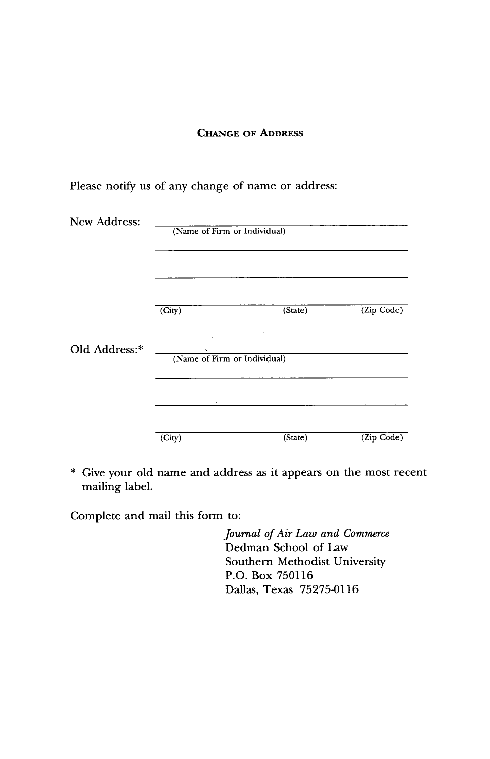#### **CHANGE OF ADDRESS**

Please notify us of any change of name or address:

| New Address:  | (Name of Firm or Individual) |         |              |
|---------------|------------------------------|---------|--------------|
|               |                              |         |              |
|               |                              |         |              |
|               | (City)                       | (State) | (Zip Code)   |
| Old Address:* | (Name of Firm or Individual) |         |              |
|               |                              |         |              |
|               |                              |         |              |
|               | (City)                       | (State) | $(Zip$ Code) |

\* Give your old name and address as it appears on the most recent mailing label.

Complete and mail this form to:

*Journal of Air Law and Commerce* Dedman School of Law Southern Methodist University P.O. Box **750116** Dallas, Texas **75275-0116**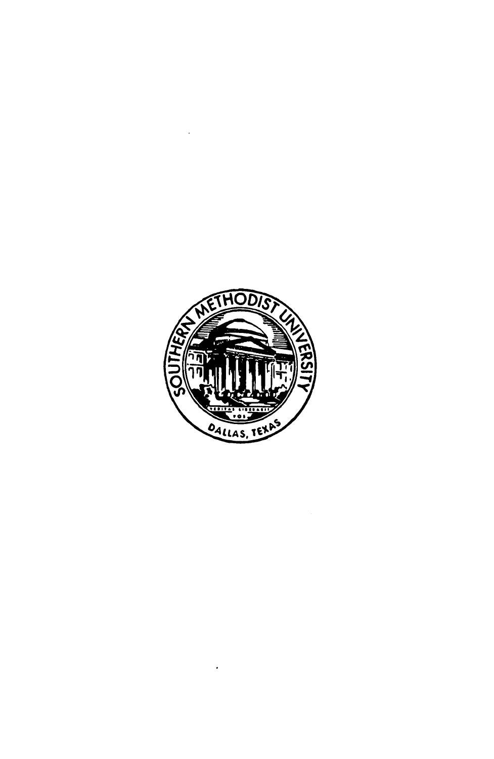

 $\cdot$ 

 $\ddot{\phantom{a}}$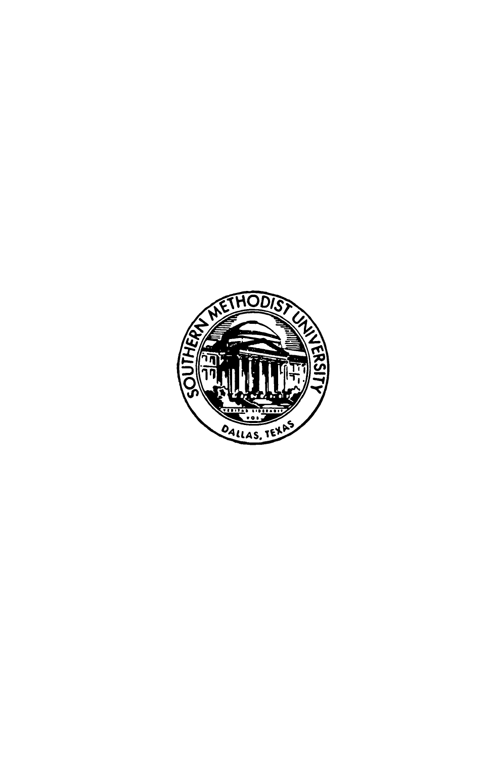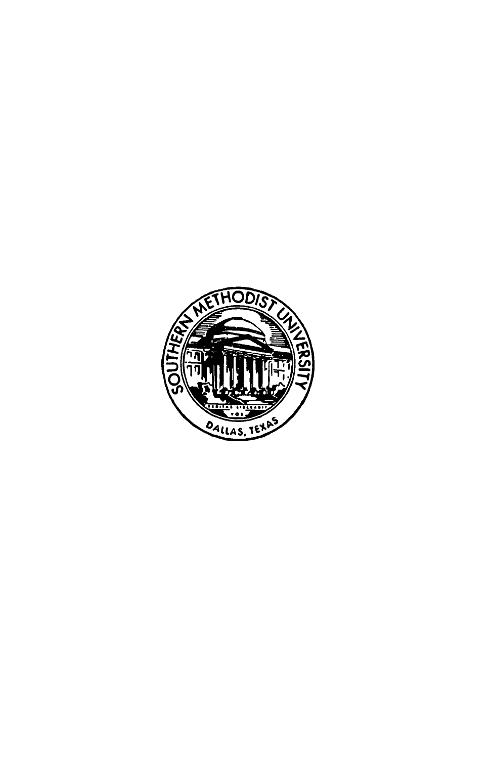